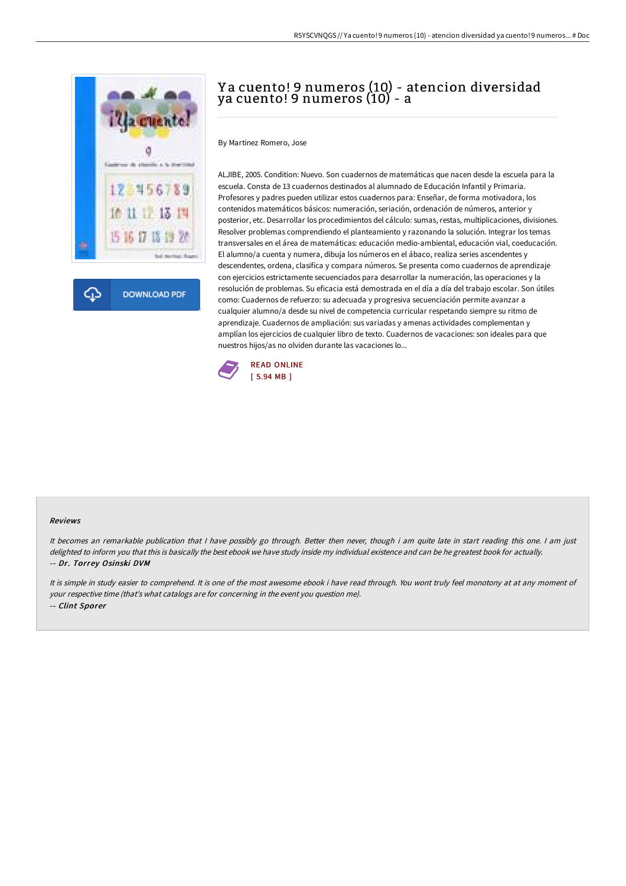

# Y a cuento! 9 numeros (10) - atencion diversidad ya cuento! 9 numeros (10) - a

By Martinez Romero, Jose

ALJIBE, 2005. Condition: Nuevo. Son cuadernos de matemáticas que nacen desde la escuela para la escuela. Consta de 13 cuadernos destinados al alumnado de Educación Infantil y Primaria. Profesores y padres pueden utilizar estos cuadernos para: Enseñar, de forma motivadora, los contenidos matemáticos básicos: numeración, seriación, ordenación de números, anterior y posterior, etc. Desarrollar los procedimientos del cálculo: sumas, restas, multiplicaciones, divisiones. Resolver problemas comprendiendo el planteamiento y razonando la solución. Integrar los temas transversales en el área de matemáticas: educación medio-ambiental, educación vial, coeducación. El alumno/a cuenta y numera, dibuja los números en el ábaco, realiza series ascendentes y descendentes, ordena, clasifica y compara números. Se presenta como cuadernos de aprendizaje con ejercicios estrictamente secuenciados para desarrollar la numeración, las operaciones y la resolución de problemas. Su eficacia está demostrada en el día a día del trabajo escolar. Son útiles como: Cuadernos de refuerzo: su adecuada y progresiva secuenciación permite avanzar a cualquier alumno/a desde su nivel de competencia curricular respetando siempre su ritmo de aprendizaje. Cuadernos de ampliación: sus variadas y amenas actividades complementan y amplían los ejercicios de cualquier libro de texto. Cuadernos de vacaciones: son ideales para que nuestros hijos/as no olviden durante las vacaciones lo...



#### Reviews

It becomes an remarkable publication that I have possibly go through. Better then never, though i am quite late in start reading this one. I am just delighted to inform you that this is basically the best ebook we have study inside my individual existence and can be he greatest book for actually. -- Dr. Torrey Osinski DVM

It is simple in study easier to comprehend. It is one of the most awesome ebook i have read through. You wont truly feel monotony at at any moment of your respective time (that's what catalogs are for concerning in the event you question me). -- Clint Sporer